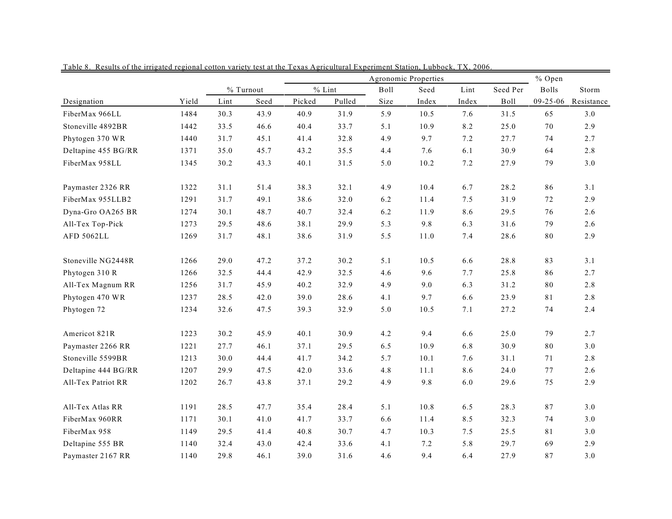|                     |       |      |              |        | % Open   |      |       |       |          |                |            |
|---------------------|-------|------|--------------|--------|----------|------|-------|-------|----------|----------------|------------|
|                     |       |      | $\%$ Turnout |        | $%$ Lint | Boll | Seed  | Lint  | Seed Per | <b>Bolls</b>   | Storm      |
| Designation         | Yield | Lint | Seed         | Picked | Pulled   | Size | Index | Index | Boll     | $09 - 25 - 06$ | Resistance |
| FiberMax 966LL      | 1484  | 30.3 | 43.9         | 40.9   | 31.9     | 5.9  | 10.5  | 7.6   | 31.5     | 65             | 3.0        |
| Stoneville 4892BR   | 1442  | 33.5 | 46.6         | 40.4   | 33.7     | 5.1  | 10.9  | 8.2   | 25.0     | 70             | 2.9        |
| Phytogen 370 WR     | 1440  | 31.7 | 45.1         | 41.4   | 32.8     | 4.9  | 9.7   | 7.2   | 27.7     | 74             | 2.7        |
| Deltapine 455 BG/RR | 1371  | 35.0 | 45.7         | 43.2   | 35.5     | 4.4  | 7.6   | 6.1   | 30.9     | 64             | 2.8        |
| FiberMax 958LL      | 1345  | 30.2 | 43.3         | 40.1   | 31.5     | 5.0  | 10.2  | 7.2   | 27.9     | 79             | $3.0$      |
| Paymaster 2326 RR   | 1322  | 31.1 | 51.4         | 38.3   | 32.1     | 4.9  | 10.4  | 6.7   | 28.2     | 86             | 3.1        |
| FiberMax 955LLB2    | 1291  | 31.7 | 49.1         | 38.6   | 32.0     | 6.2  | 11.4  | 7.5   | 31.9     | 72             | 2.9        |
| Dyna-Gro OA265 BR   | 1274  | 30.1 | 48.7         | 40.7   | 32.4     | 6.2  | 11.9  | 8.6   | 29.5     | 76             | 2.6        |
| All-Tex Top-Pick    | 1273  | 29.5 | 48.6         | 38.1   | 29.9     | 5.3  | 9.8   | 6.3   | 31.6     | 79             | 2.6        |
| AFD 5062LL          | 1269  | 31.7 | 48.1         | 38.6   | 31.9     | 5.5  | 11.0  | 7.4   | 28.6     | 80             | 2.9        |
| Stoneville NG2448R  | 1266  | 29.0 | 47.2         | 37.2   | 30.2     | 5.1  | 10.5  | 6.6   | 28.8     | 83             | 3.1        |
| Phytogen 310 R      | 1266  | 32.5 | 44.4         | 42.9   | 32.5     | 4.6  | 9.6   | 7.7   | 25.8     | 86             | 2.7        |
| All-Tex Magnum RR   | 1256  | 31.7 | 45.9         | 40.2   | 32.9     | 4.9  | 9.0   | 6.3   | 31.2     | $80\,$         | $2.8\,$    |
| Phytogen 470 WR     | 1237  | 28.5 | 42.0         | 39.0   | 28.6     | 4.1  | 9.7   | 6.6   | 23.9     | 81             | 2.8        |
| Phytogen 72         | 1234  | 32.6 | 47.5         | 39.3   | 32.9     | 5.0  | 10.5  | 7.1   | 27.2     | 74             | 2.4        |
| Americot 821R       | 1223  | 30.2 | 45.9         | 40.1   | 30.9     | 4.2  | 9.4   | 6.6   | 25.0     | 79             | 2.7        |
| Paymaster 2266 RR   | 1221  | 27.7 | 46.1         | 37.1   | 29.5     | 6.5  | 10.9  | 6.8   | 30.9     | 80             | $3.0$      |
| Stoneville 5599BR   | 1213  | 30.0 | 44.4         | 41.7   | 34.2     | 5.7  | 10.1  | 7.6   | 31.1     | 71             | $2.8\,$    |
| Deltapine 444 BG/RR | 1207  | 29.9 | 47.5         | 42.0   | 33.6     | 4.8  | 11.1  | 8.6   | 24.0     | 77             | 2.6        |
| All-Tex Patriot RR  | 1202  | 26.7 | 43.8         | 37.1   | 29.2     | 4.9  | 9.8   | 6.0   | 29.6     | 75             | 2.9        |
| All-Tex Atlas RR    | 1191  | 28.5 | 47.7         | 35.4   | 28.4     | 5.1  | 10.8  | 6.5   | 28.3     | 87             | $3.0$      |
| FiberMax 960RR      | 1171  | 30.1 | 41.0         | 41.7   | 33.7     | 6.6  | 11.4  | 8.5   | 32.3     | 74             | $3.0$      |
| FiberMax 958        | 1149  | 29.5 | 41.4         | 40.8   | 30.7     | 4.7  | 10.3  | 7.5   | 25.5     | 81             | $3.0$      |
| Deltapine 555 BR    | 1140  | 32.4 | 43.0         | 42.4   | 33.6     | 4.1  | 7.2   | 5.8   | 29.7     | 69             | 2.9        |
| Paymaster 2167 RR   | 1140  | 29.8 | 46.1         | 39.0   | 31.6     | 4.6  | 9.4   | 6.4   | 27.9     | 87             | 3.0        |

Table 8. Results of the irrigated regional cotton variety test at the Texas Agricultural Experiment Station, Lubbock, TX, 2006.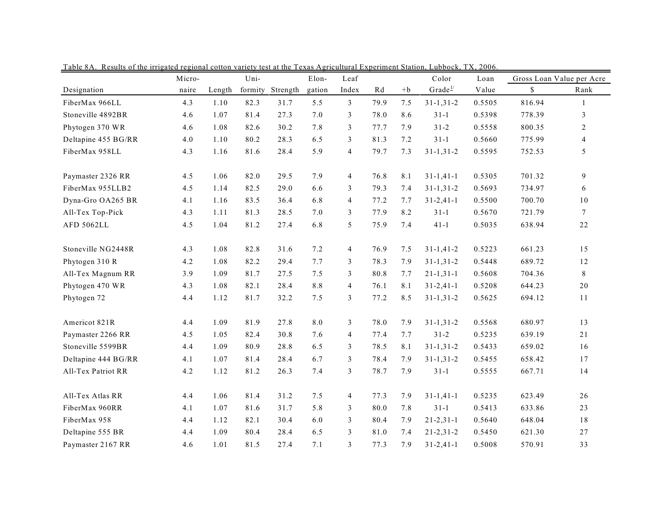|                     | Micro- | Uni-   |         | Elon-    | Leaf   |                |      | Color<br>Loan |                     | Gross Loan Value per Acre |        |                 |
|---------------------|--------|--------|---------|----------|--------|----------------|------|---------------|---------------------|---------------------------|--------|-----------------|
| Designation         | naire  | Length | formity | Strength | gation | Index          | Rd   | $+b$          | Grade <sup>1/</sup> | Value                     | \$     | Rank            |
| FiberMax 966LL      | 4.3    | 1.10   | 82.3    | 31.7     | 5.5    | $\mathfrak{Z}$ | 79.9 | 7.5           | $31 - 1, 31 - 2$    | 0.5505                    | 816.94 | $\mathbf{1}$    |
| Stoneville 4892BR   | 4.6    | 1.07   | 81.4    | 27.3     | 7.0    | 3              | 78.0 | 8.6           | $31 - 1$            | 0.5398                    | 778.39 | 3               |
| Phytogen 370 WR     | 4.6    | 1.08   | 82.6    | 30.2     | 7.8    | 3              | 77.7 | 7.9           | $31 - 2$            | 0.5558                    | 800.35 | 2               |
| Deltapine 455 BG/RR | 4.0    | 1.10   | 80.2    | 28.3     | 6.5    | 3              | 81.3 | 7.2           | $31-1$              | 0.5660                    | 775.99 | $\overline{4}$  |
| FiberMax 958LL      | 4.3    | 1.16   | 81.6    | 28.4     | 5.9    | $\overline{4}$ | 79.7 | 7.3           | $31 - 1, 31 - 2$    | 0.5595                    | 752.53 | 5               |
| Paymaster 2326 RR   | 4.5    | 1.06   | 82.0    | 29.5     | 7.9    | $\overline{4}$ | 76.8 | 8.1           | $31 - 1, 41 - 1$    | 0.5305                    | 701.32 | 9               |
| FiberMax 955LLB2    | 4.5    | 1.14   | 82.5    | 29.0     | 6.6    | 3              | 79.3 | 7.4           | $31 - 1, 31 - 2$    | 0.5693                    | 734.97 | 6               |
| Dyna-Gro OA265 BR   | 4.1    | 1.16   | 83.5    | 36.4     | 6.8    | $\overline{4}$ | 77.2 | 7.7           | $31 - 2, 41 - 1$    | 0.5500                    | 700.70 | 10              |
| All-Tex Top-Pick    | 4.3    | 1.11   | 81.3    | 28.5     | 7.0    | 3              | 77.9 | 8.2           | $31 - 1$            | 0.5670                    | 721.79 | $7\phantom{.0}$ |
| AFD 5062LL          | 4.5    | 1.04   | 81.2    | 27.4     | 6.8    | 5              | 75.9 | 7.4           | $41 - 1$            | 0.5035                    | 638.94 | 22              |
| Stoneville NG2448R  | 4.3    | 1.08   | 82.8    | 31.6     | 7.2    | 4              | 76.9 | 7.5           | $31 - 1,41 - 2$     | 0.5223                    | 661.23 | 15              |
| Phytogen 310 R      | 4.2    | 1.08   | 82.2    | 29.4     | 7.7    | 3              | 78.3 | 7.9           | $31 - 1, 31 - 2$    | 0.5448                    | 689.72 | 12              |
| All-Tex Magnum RR   | 3.9    | 1.09   | 81.7    | 27.5     | 7.5    | 3              | 80.8 | 7.7           | $21 - 1, 31 - 1$    | 0.5608                    | 704.36 | 8               |
| Phytogen 470 WR     | 4.3    | 1.08   | 82.1    | 28.4     | 8.8    | $\overline{4}$ | 76.1 | 8.1           | $31 - 2, 41 - 1$    | 0.5208                    | 644.23 | 20              |
| Phytogen 72         | 4.4    | 1.12   | 81.7    | 32.2     | 7.5    | 3              | 77.2 | 8.5           | $31 - 1, 31 - 2$    | 0.5625                    | 694.12 | 11              |
| Americot 821R       | 4.4    | 1.09   | 81.9    | 27.8     | 8.0    | 3              | 78.0 | 7.9           | $31 - 1, 31 - 2$    | 0.5568                    | 680.97 | 13              |
| Paymaster 2266 RR   | 4.5    | 1.05   | 82.4    | 30.8     | 7.6    | $\overline{4}$ | 77.4 | 7.7           | $31 - 2$            | 0.5235                    | 639.19 | 21              |
| Stoneville 5599BR   | 4.4    | 1.09   | 80.9    | 28.8     | 6.5    | 3              | 78.5 | 8.1           | $31 - 1, 31 - 2$    | 0.5433                    | 659.02 | 16              |
| Deltapine 444 BG/RR | 4.1    | 1.07   | 81.4    | 28.4     | 6.7    | 3              | 78.4 | 7.9           | $31 - 1, 31 - 2$    | 0.5455                    | 658.42 | 17              |
| All-Tex Patriot RR  | 4.2    | 1.12   | 81.2    | 26.3     | 7.4    | 3              | 78.7 | 7.9           | $31 - 1$            | 0.5555                    | 667.71 | 14              |
| All-Tex Atlas RR    | 4.4    | 1.06   | 81.4    | 31.2     | 7.5    | $\overline{4}$ | 77.3 | 7.9           | $31 - 1,41 - 1$     | 0.5235                    | 623.49 | 26              |
| FiberMax 960RR      | 4.1    | 1.07   | 81.6    | 31.7     | 5.8    | 3              | 80.0 | 7.8           | $31-1$              | 0.5413                    | 633.86 | 23              |
| FiberMax 958        | 4.4    | 1.12   | 82.1    | 30.4     | 6.0    | 3              | 80.4 | 7.9           | $21 - 2, 31 - 1$    | 0.5640                    | 648.04 | 18              |
| Deltapine 555 BR    | 4.4    | 1.09   | 80.4    | 28.4     | 6.5    | 3              | 81.0 | 7.4           | $21 - 2, 31 - 2$    | 0.5450                    | 621.30 | 27              |
| Paymaster 2167 RR   | 4.6    | 1.01   | 81.5    | 27.4     | 7.1    | 3              | 77.3 | 7.9           | $31 - 2,41 - 1$     | 0.5008                    | 570.91 | 33              |

Table 8A. Results of the irrigated regional cotton variety test at the Texas Agricultural Experiment Station, Lubbock, TX, 2006.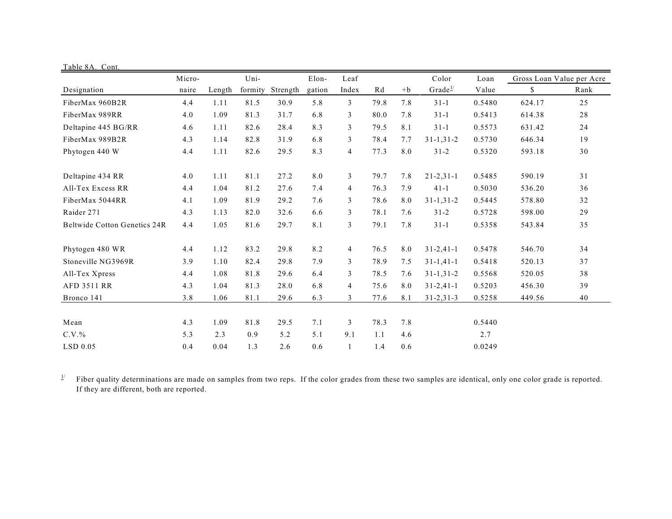| Table 8A. Cont.                     |        |        |         |          |        |                |      |      |                     |        |                           |      |
|-------------------------------------|--------|--------|---------|----------|--------|----------------|------|------|---------------------|--------|---------------------------|------|
|                                     | Micro- |        | Uni-    |          | Elon-  | Leaf           |      |      | Color               | Loan   | Gross Loan Value per Acre |      |
| Designation                         | naire  | Length | formity | Strength | gation | Index          | Rd   | $+b$ | Grade <sup>1/</sup> | Value  | \$                        | Rank |
| FiberMax 960B2R                     | 4.4    | 1.11   | 81.5    | 30.9     | 5.8    | $\overline{3}$ | 79.8 | 7.8  | $31-1$              | 0.5480 | 624.17                    | 25   |
| FiberMax 989RR                      | 4.0    | 1.09   | 81.3    | 31.7     | 6.8    | 3              | 80.0 | 7.8  | $31 - 1$            | 0.5413 | 614.38                    | 28   |
| Deltapine 445 BG/RR                 | 4.6    | 1.11   | 82.6    | 28.4     | 8.3    | 3              | 79.5 | 8.1  | $31-1$              | 0.5573 | 631.42                    | 24   |
| FiberMax 989B2R                     | 4.3    | 1.14   | 82.8    | 31.9     | 6.8    | 3              | 78.4 | 7.7  | $31 - 1, 31 - 2$    | 0.5730 | 646.34                    | 19   |
| Phytogen 440 W                      | 4.4    | 1.11   | 82.6    | 29.5     | 8.3    | $\overline{4}$ | 77.3 | 8.0  | $31 - 2$            | 0.5320 | 593.18                    | 30   |
| Deltapine 434 RR                    | 4.0    | 1.11   | 81.1    | 27.2     | 8.0    | 3              | 79.7 | 7.8  | $21 - 2, 31 - 1$    | 0.5485 | 590.19                    | 31   |
| All-Tex Excess RR                   | 4.4    | 1.04   | 81.2    | 27.6     | 7.4    | $\overline{4}$ | 76.3 | 7.9  | $41 - 1$            | 0.5030 | 536.20                    | 36   |
| FiberMax 5044RR                     | 4.1    | 1.09   | 81.9    | 29.2     | 7.6    | 3              | 78.6 | 8.0  | $31 - 1, 31 - 2$    | 0.5445 | 578.80                    | 32   |
| Raider 271                          | 4.3    | 1.13   | 82.0    | 32.6     | 6.6    | 3              | 78.1 | 7.6  | $31 - 2$            | 0.5728 | 598.00                    | 29   |
| <b>Beltwide Cotton Genetics 24R</b> | 4.4    | 1.05   | 81.6    | 29.7     | 8.1    | 3              | 79.1 | 7.8  | $31 - 1$            | 0.5358 | 543.84                    | 35   |
| Phytogen 480 WR                     | 4.4    | 1.12   | 83.2    | 29.8     | 8.2    | $\overline{4}$ | 76.5 | 8.0  | $31 - 2,41 - 1$     | 0.5478 | 546.70                    | 34   |
| Stoneville NG3969R                  | 3.9    | 1.10   | 82.4    | 29.8     | 7.9    | 3              | 78.9 | 7.5  | $31 - 1, 41 - 1$    | 0.5418 | 520.13                    | 37   |
| All-Tex Xpress                      | 4.4    | 1.08   | 81.8    | 29.6     | 6.4    | 3              | 78.5 | 7.6  | $31 - 1, 31 - 2$    | 0.5568 | 520.05                    | 38   |
| AFD 3511 RR                         | 4.3    | 1.04   | 81.3    | 28.0     | 6.8    | $\overline{4}$ | 75.6 | 8.0  | $31 - 2,41 - 1$     | 0.5203 | 456.30                    | 39   |
| Bronco 141                          | 3.8    | 1.06   | 81.1    | 29.6     | 6.3    | 3              | 77.6 | 8.1  | $31 - 2, 31 - 3$    | 0.5258 | 449.56                    | 40   |
| Mean                                | 4.3    | 1.09   | 81.8    | 29.5     | 7.1    | 3              | 78.3 | 7.8  |                     | 0.5440 |                           |      |
| $C.V.$ %                            | 5.3    | 2.3    | 0.9     | 5.2      | 5.1    | 9.1            | 1.1  | 4.6  |                     | 2.7    |                           |      |
| $LSD$ 0.05                          | 0.4    | 0.04   | 1.3     | 2.6      | 0.6    | $\mathbf{1}$   | 1.4  | 0.6  |                     | 0.0249 |                           |      |

 $\frac{1}{2}$  Fiber quality determinations are made on samples from two reps. If the color grades from these two samples are identical, only one color grade is reported. If they are different, both are reported.